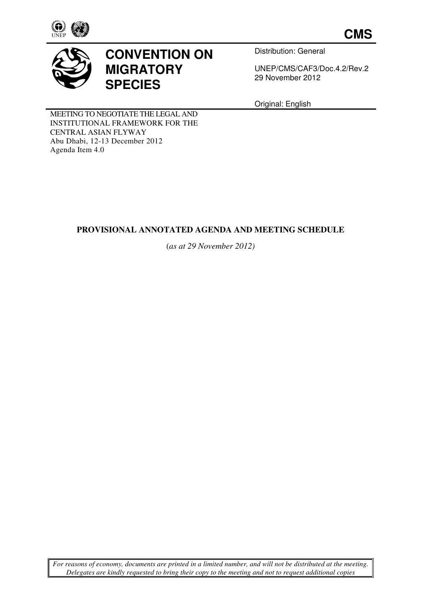

**CMS**



# **CONVENTION ON MIGRATORY SPECIES**

Distribution: General

UNEP/CMS/CAF3/Doc.4.2/Rev.2 29 November 2012

Original: English

MEETING TO NEGOTIATE THE LEGAL AND INSTITUTIONAL FRAMEWORK FOR THE CENTRAL ASIAN FLYWAY Abu Dhabi, 12-13 December 2012 Agenda Item 4.0

## **PROVISIONAL ANNOTATED AGENDA AND MEETING SCHEDULE**

(*as at 29 November 2012)* 

*For reasons of economy, documents are printed in a limited number, and will not be distributed at the meeting. Delegates are kindly requested to bring their copy to the meeting and not to request additional copies*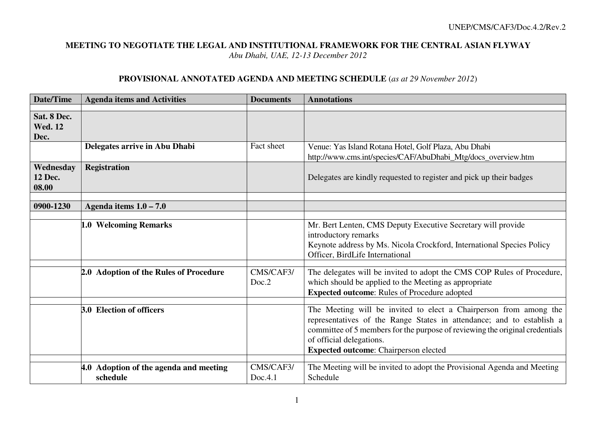#### **MEETING TO NEGOTIATE THE LEGAL AND INSTITUTIONAL FRAMEWORK FOR THE CENTRAL ASIAN FLYWAY***Abu Dhabi, UAE, 12-13 December 2012*

#### **PROVISIONAL ANNOTATED AGENDA AND MEETING SCHEDULE** (*as at 29 November 2012*)

| Date/Time                     | <b>Agenda items and Activities</b>     | <b>Documents</b> | <b>Annotations</b>                                                           |
|-------------------------------|----------------------------------------|------------------|------------------------------------------------------------------------------|
|                               |                                        |                  |                                                                              |
| Sat. 8 Dec.<br><b>Wed. 12</b> |                                        |                  |                                                                              |
|                               |                                        |                  |                                                                              |
| Dec.                          | Delegates arrive in Abu Dhabi          | Fact sheet       | Venue: Yas Island Rotana Hotel, Golf Plaza, Abu Dhabi                        |
|                               |                                        |                  |                                                                              |
|                               |                                        |                  | http://www.cms.int/species/CAF/AbuDhabi_Mtg/docs_overview.htm                |
| Wednesday                     | <b>Registration</b>                    |                  |                                                                              |
| 12 Dec.<br>08.00              |                                        |                  | Delegates are kindly requested to register and pick up their badges          |
|                               |                                        |                  |                                                                              |
| 0900-1230                     | Agenda items $1.0 - 7.0$               |                  |                                                                              |
|                               |                                        |                  |                                                                              |
|                               | 1.0 Welcoming Remarks                  |                  | Mr. Bert Lenten, CMS Deputy Executive Secretary will provide                 |
|                               |                                        |                  | introductory remarks                                                         |
|                               |                                        |                  | Keynote address by Ms. Nicola Crockford, International Species Policy        |
|                               |                                        |                  | Officer, BirdLife International                                              |
|                               |                                        |                  |                                                                              |
|                               | 2.0 Adoption of the Rules of Procedure | CMS/CAF3/        | The delegates will be invited to adopt the CMS COP Rules of Procedure,       |
|                               |                                        | Doc.2            | which should be applied to the Meeting as appropriate                        |
|                               |                                        |                  | <b>Expected outcome:</b> Rules of Procedure adopted                          |
|                               | <b>3.0 Election of officers</b>        |                  | The Meeting will be invited to elect a Chairperson from among the            |
|                               |                                        |                  | representatives of the Range States in attendance; and to establish a        |
|                               |                                        |                  | committee of 5 members for the purpose of reviewing the original credentials |
|                               |                                        |                  | of official delegations.                                                     |
|                               |                                        |                  | <b>Expected outcome:</b> Chairperson elected                                 |
|                               |                                        |                  |                                                                              |
|                               | 4.0 Adoption of the agenda and meeting | CMS/CAF3/        | The Meeting will be invited to adopt the Provisional Agenda and Meeting      |
|                               | schedule                               | Doc.4.1          | Schedule                                                                     |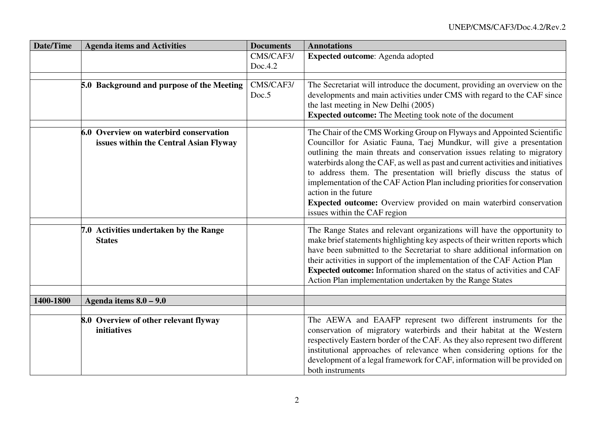| <b>Date/Time</b> | <b>Agenda items and Activities</b>                                               | <b>Documents</b>     | <b>Annotations</b>                                                                                                                                                                                                                                                                                                                                                                                                                                                                                                                                                                                  |
|------------------|----------------------------------------------------------------------------------|----------------------|-----------------------------------------------------------------------------------------------------------------------------------------------------------------------------------------------------------------------------------------------------------------------------------------------------------------------------------------------------------------------------------------------------------------------------------------------------------------------------------------------------------------------------------------------------------------------------------------------------|
|                  |                                                                                  | CMS/CAF3/<br>Doc.4.2 | <b>Expected outcome:</b> Agenda adopted                                                                                                                                                                                                                                                                                                                                                                                                                                                                                                                                                             |
|                  | 5.0 Background and purpose of the Meeting                                        | CMS/CAF3/<br>Doc.5   | The Secretariat will introduce the document, providing an overview on the<br>developments and main activities under CMS with regard to the CAF since<br>the last meeting in New Delhi (2005)<br><b>Expected outcome:</b> The Meeting took note of the document                                                                                                                                                                                                                                                                                                                                      |
|                  | 6.0 Overview on waterbird conservation<br>issues within the Central Asian Flyway |                      | The Chair of the CMS Working Group on Flyways and Appointed Scientific<br>Councillor for Asiatic Fauna, Taej Mundkur, will give a presentation<br>outlining the main threats and conservation issues relating to migratory<br>waterbirds along the CAF, as well as past and current activities and initiatives<br>to address them. The presentation will briefly discuss the status of<br>implementation of the CAF Action Plan including priorities for conservation<br>action in the future<br>Expected outcome: Overview provided on main waterbird conservation<br>issues within the CAF region |
|                  | 7.0 Activities undertaken by the Range<br><b>States</b>                          |                      | The Range States and relevant organizations will have the opportunity to<br>make brief statements highlighting key aspects of their written reports which<br>have been submitted to the Secretariat to share additional information on<br>their activities in support of the implementation of the CAF Action Plan<br>Expected outcome: Information shared on the status of activities and CAF<br>Action Plan implementation undertaken by the Range States                                                                                                                                         |
| 1400-1800        | Agenda items $8.0 - 9.0$                                                         |                      |                                                                                                                                                                                                                                                                                                                                                                                                                                                                                                                                                                                                     |
|                  |                                                                                  |                      |                                                                                                                                                                                                                                                                                                                                                                                                                                                                                                                                                                                                     |
|                  | 8.0 Overview of other relevant flyway<br>initiatives                             |                      | The AEWA and EAAFP represent two different instruments for the<br>conservation of migratory waterbirds and their habitat at the Western<br>respectively Eastern border of the CAF. As they also represent two different<br>institutional approaches of relevance when considering options for the<br>development of a legal framework for CAF, information will be provided on<br>both instruments                                                                                                                                                                                                  |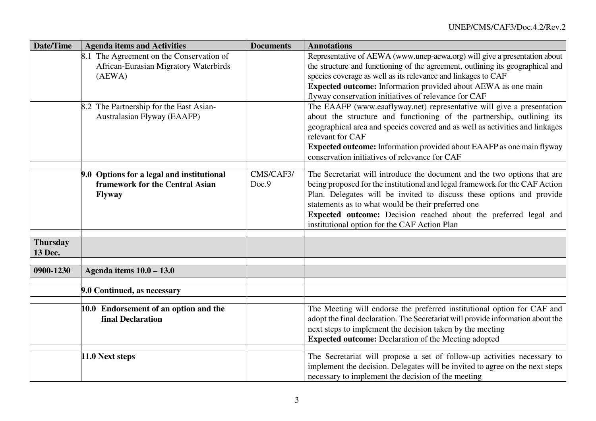| Date/Time                  | <b>Agenda items and Activities</b>                                                                                                                                    | <b>Documents</b>   | <b>Annotations</b>                                                                                                                                                                                                                                                                                                                                                                                                                                                                                                                                                                                          |
|----------------------------|-----------------------------------------------------------------------------------------------------------------------------------------------------------------------|--------------------|-------------------------------------------------------------------------------------------------------------------------------------------------------------------------------------------------------------------------------------------------------------------------------------------------------------------------------------------------------------------------------------------------------------------------------------------------------------------------------------------------------------------------------------------------------------------------------------------------------------|
|                            | 8.1 The Agreement on the Conservation of<br>African-Eurasian Migratory Waterbirds<br>(AEWA)<br>8.2 The Partnership for the East Asian-<br>Australasian Flyway (EAAFP) |                    | Representative of AEWA (www.unep-aewa.org) will give a presentation about<br>the structure and functioning of the agreement, outlining its geographical and<br>species coverage as well as its relevance and linkages to CAF<br>Expected outcome: Information provided about AEWA as one main<br>flyway conservation initiatives of relevance for CAF<br>The EAAFP (www.eaaflyway.net) representative will give a presentation<br>about the structure and functioning of the partnership, outlining its<br>geographical area and species covered and as well as activities and linkages<br>relevant for CAF |
|                            |                                                                                                                                                                       |                    | <b>Expected outcome:</b> Information provided about EAAFP as one main flyway<br>conservation initiatives of relevance for CAF                                                                                                                                                                                                                                                                                                                                                                                                                                                                               |
|                            | 9.0 Options for a legal and institutional<br>framework for the Central Asian<br><b>Flyway</b>                                                                         | CMS/CAF3/<br>Doc.9 | The Secretariat will introduce the document and the two options that are<br>being proposed for the institutional and legal framework for the CAF Action<br>Plan. Delegates will be invited to discuss these options and provide<br>statements as to what would be their preferred one<br>Expected outcome: Decision reached about the preferred legal and<br>institutional option for the CAF Action Plan                                                                                                                                                                                                   |
| <b>Thursday</b><br>13 Dec. |                                                                                                                                                                       |                    |                                                                                                                                                                                                                                                                                                                                                                                                                                                                                                                                                                                                             |
| 0900-1230                  | Agenda items 10.0 - 13.0                                                                                                                                              |                    |                                                                                                                                                                                                                                                                                                                                                                                                                                                                                                                                                                                                             |
|                            | 9.0 Continued, as necessary                                                                                                                                           |                    |                                                                                                                                                                                                                                                                                                                                                                                                                                                                                                                                                                                                             |
|                            | 10.0 Endorsement of an option and the<br>final Declaration                                                                                                            |                    | The Meeting will endorse the preferred institutional option for CAF and<br>adopt the final declaration. The Secretariat will provide information about the<br>next steps to implement the decision taken by the meeting<br><b>Expected outcome:</b> Declaration of the Meeting adopted                                                                                                                                                                                                                                                                                                                      |
|                            | 11.0 Next steps                                                                                                                                                       |                    | The Secretariat will propose a set of follow-up activities necessary to<br>implement the decision. Delegates will be invited to agree on the next steps<br>necessary to implement the decision of the meeting                                                                                                                                                                                                                                                                                                                                                                                               |